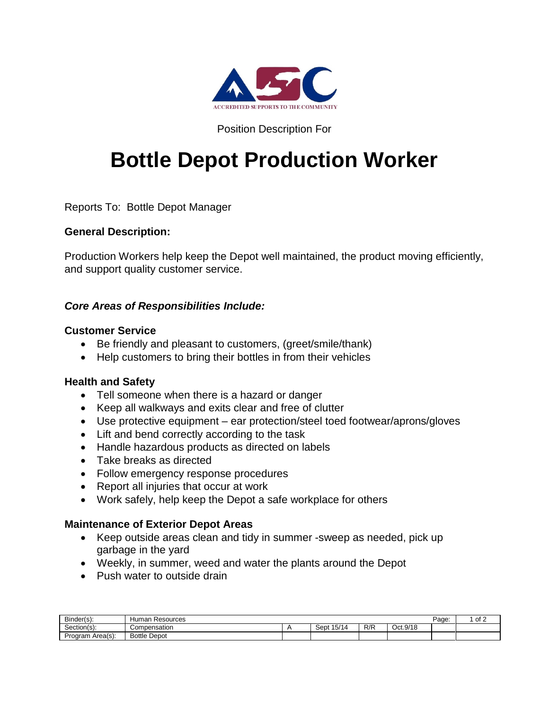

## Position Description For

# **Bottle Depot Production Worker**

Reports To: Bottle Depot Manager

## **General Description:**

Production Workers help keep the Depot well maintained, the product moving efficiently, and support quality customer service.

## *Core Areas of Responsibilities Include:*

## **Customer Service**

- Be friendly and pleasant to customers, (greet/smile/thank)
- Help customers to bring their bottles in from their vehicles

### **Health and Safety**

- Tell someone when there is a hazard or danger
- Keep all walkways and exits clear and free of clutter
- Use protective equipment ear protection/steel toed footwear/aprons/gloves
- Lift and bend correctly according to the task
- Handle hazardous products as directed on labels
- Take breaks as directed
- Follow emergency response procedures
- Report all injuries that occur at work
- Work safely, help keep the Depot a safe workplace for others

### **Maintenance of Exterior Depot Areas**

- Keep outside areas clean and tidy in summer -sweep as needed, pick up garbage in the yard
- Weekly, in summer, weed and water the plants around the Depot
- Push water to outside drain

| Binder(s):       | Resources<br>Human  |                       |     |          | Page | $\cdot$ of $\hat{ }$ |
|------------------|---------------------|-----------------------|-----|----------|------|----------------------|
| Section(s)       | Compensation        | 15/14<br>Cont<br>יטשט | R/R | Oct.9/18 |      |                      |
| Program Area(s): | <b>Bottle Depot</b> |                       |     |          |      |                      |